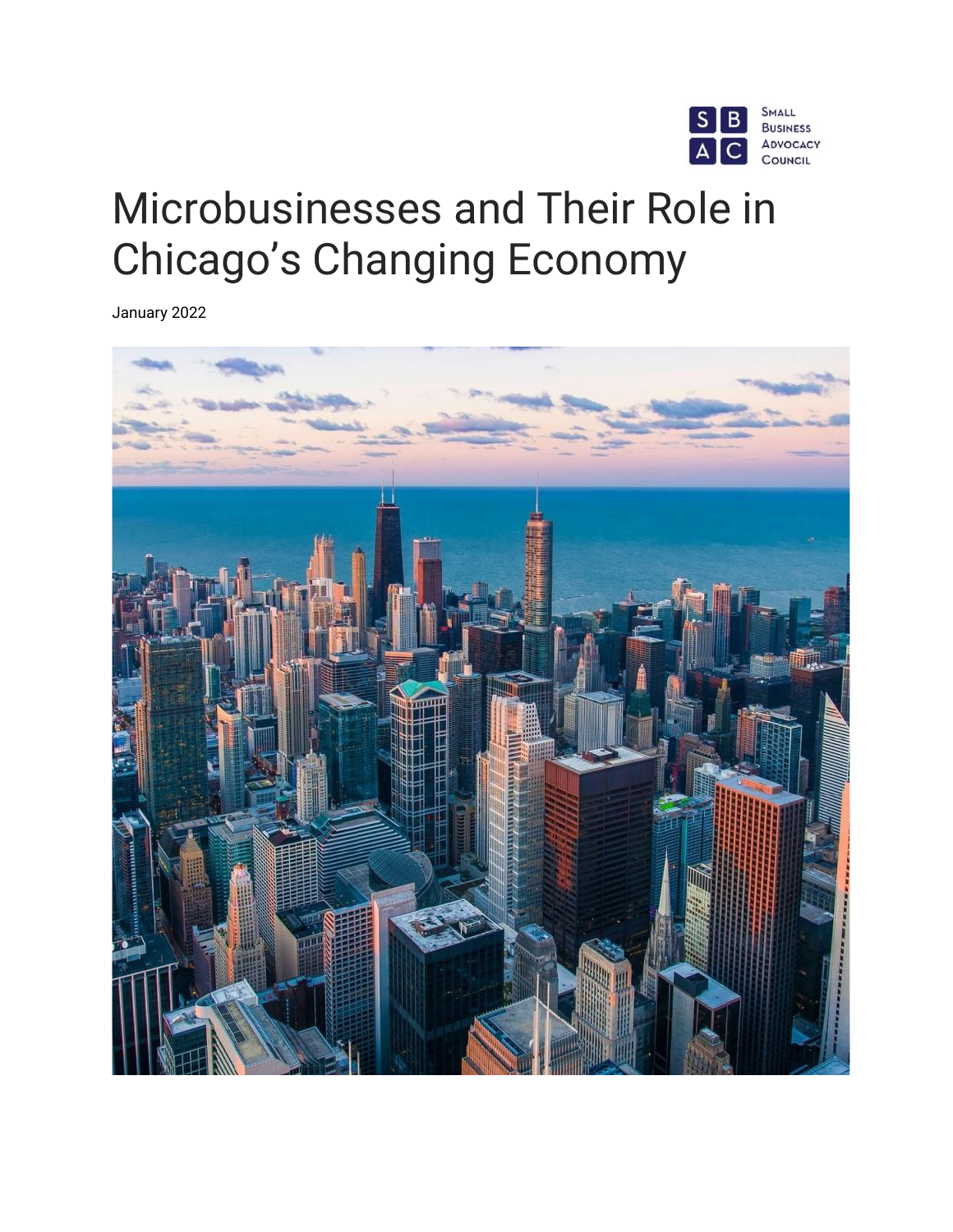

# Microbusinesses and Their Role in Chicago's Changing Economy

January 2022

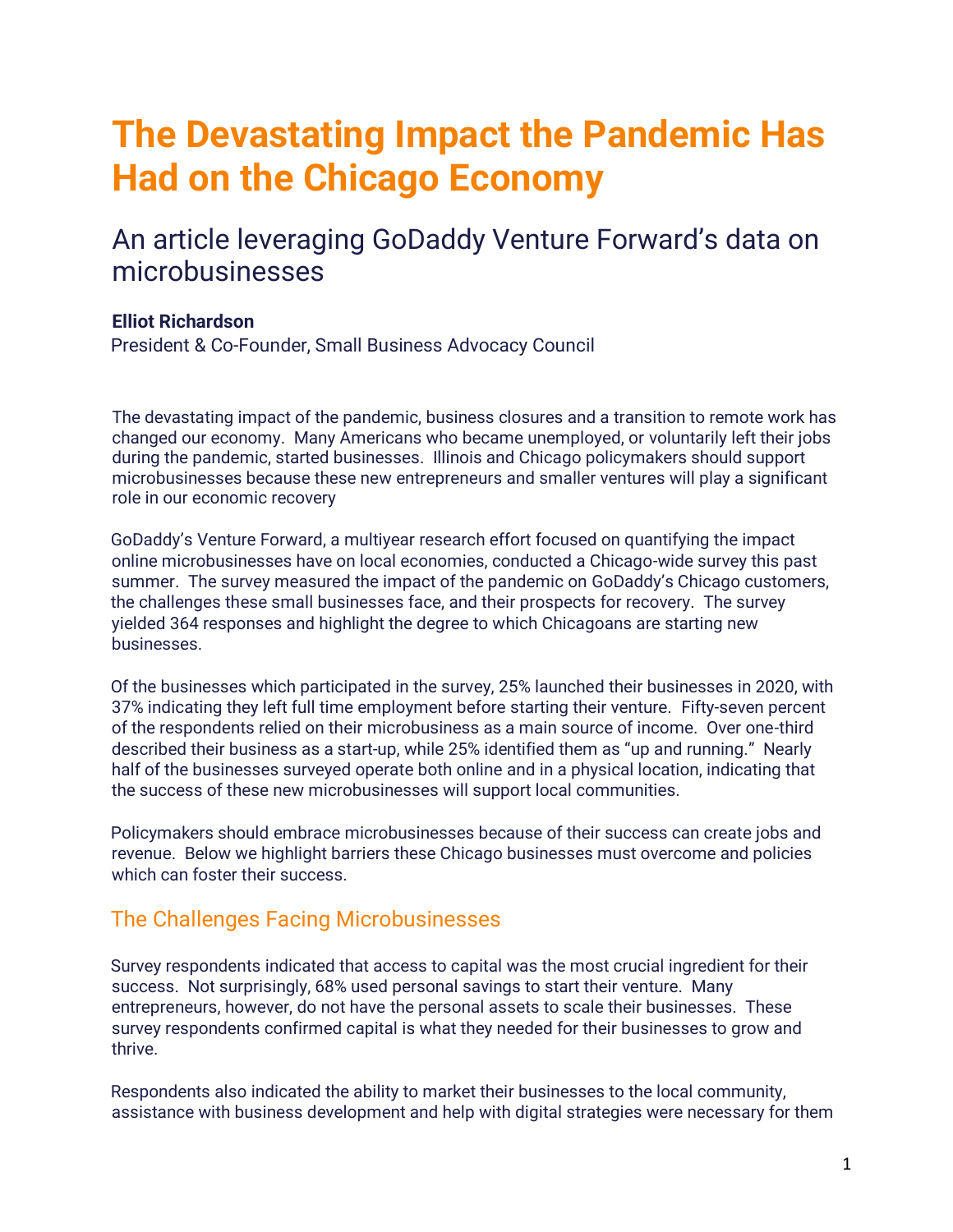## **The Devastating Impact the Pandemic Has Had on the Chicago Economy**

### An article leveraging GoDaddy Venture Forward's data on microbusinesses

#### **Elliot Richardson**

President & Co-Founder, Small Business Advocacy Council

The devastating impact of the pandemic, business closures and a transition to remote work has changed our economy. Many Americans who became unemployed, or voluntarily left their jobs during the pandemic, started businesses. Illinois and Chicago policymakers should support microbusinesses because these new entrepreneurs and smaller ventures will play a significant role in our economic recovery

GoDaddy's Venture Forward, a multiyear research effort focused on quantifying the impact online microbusinesses have on local economies, conducted a Chicago-wide survey this past summer. The survey measured the impact of the pandemic on GoDaddy's Chicago customers, the challenges these small businesses face, and their prospects for recovery. The survey yielded 364 responses and highlight the degree to which Chicagoans are starting new businesses.

Of the businesses which participated in the survey, 25% launched their businesses in 2020, with 37% indicating they left full time employment before starting their venture. Fifty-seven percent of the respondents relied on their microbusiness as a main source of income. Over one-third described their business as a start-up, while 25% identified them as "up and running." Nearly half of the businesses surveyed operate both online and in a physical location, indicating that the success of these new microbusinesses will support local communities.

Policymakers should embrace microbusinesses because of their success can create jobs and revenue. Below we highlight barriers these Chicago businesses must overcome and policies which can foster their success.

#### The Challenges Facing Microbusinesses

Survey respondents indicated that access to capital was the most crucial ingredient for their success. Not surprisingly, 68% used personal savings to start their venture. Many entrepreneurs, however, do not have the personal assets to scale their businesses. These survey respondents confirmed capital is what they needed for their businesses to grow and thrive.

Respondents also indicated the ability to market their businesses to the local community, assistance with business development and help with digital strategies were necessary for them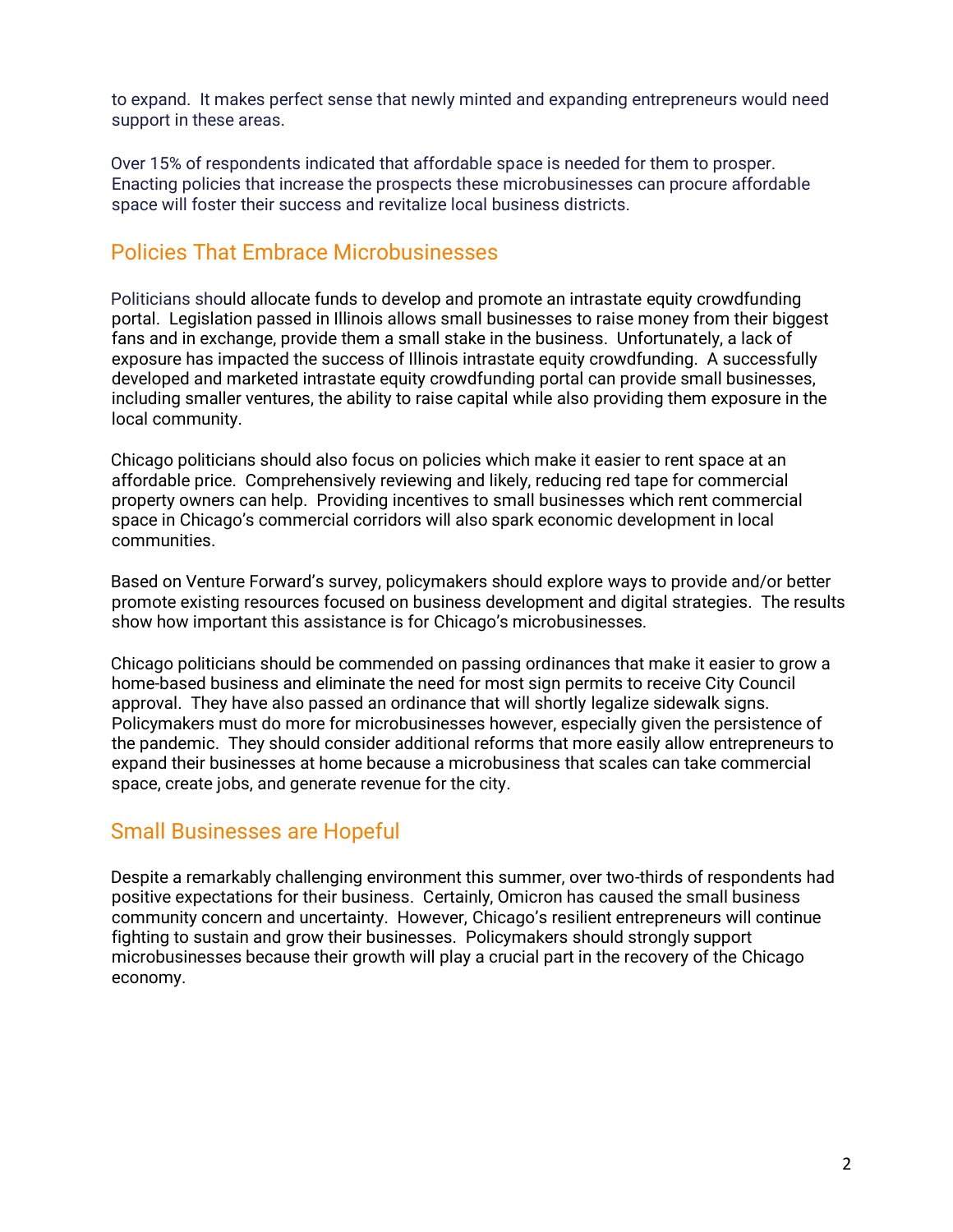to expand. It makes perfect sense that newly minted and expanding entrepreneurs would need support in these areas.

Over 15% of respondents indicated that affordable space is needed for them to prosper. Enacting policies that increase the prospects these microbusinesses can procure affordable space will foster their success and revitalize local business districts.

#### Policies That Embrace Microbusinesses

Politicians should allocate funds to develop and promote an intrastate equity crowdfunding portal. Legislation passed in Illinois allows small businesses to raise money from their biggest fans and in exchange, provide them a small stake in the business. Unfortunately, a lack of exposure has impacted the success of Illinois intrastate equity crowdfunding. A successfully developed and marketed intrastate equity crowdfunding portal can provide small businesses, including smaller ventures, the ability to raise capital while also providing them exposure in the local community.

Chicago politicians should also focus on policies which make it easier to rent space at an affordable price. Comprehensively reviewing and likely, reducing red tape for commercial property owners can help. Providing incentives to small businesses which rent commercial space in Chicago's commercial corridors will also spark economic development in local communities.

Based on Venture Forward's survey, policymakers should explore ways to provide and/or better promote existing resources focused on business development and digital strategies. The results show how important this assistance is for Chicago's microbusinesses.

Chicago politicians should be commended on passing ordinances that make it easier to grow a home-based business and eliminate the need for most sign permits to receive City Council approval. They have also passed an ordinance that will shortly legalize sidewalk signs. Policymakers must do more for microbusinesses however, especially given the persistence of the pandemic. They should consider additional reforms that more easily allow entrepreneurs to expand their businesses at home because a microbusiness that scales can take commercial space, create jobs, and generate revenue for the city.

#### Small Businesses are Hopeful

Despite a remarkably challenging environment this summer, over two-thirds of respondents had positive expectations for their business. Certainly, Omicron has caused the small business community concern and uncertainty. However, Chicago's resilient entrepreneurs will continue fighting to sustain and grow their businesses. Policymakers should strongly support microbusinesses because their growth will play a crucial part in the recovery of the Chicago economy.